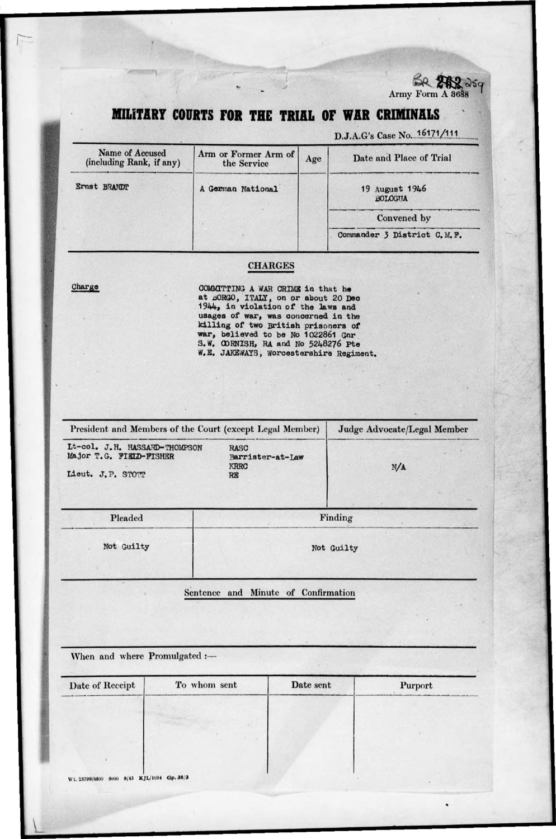

## MILITARY COURTS FOR THE TRIAL OF WAR CRIMINALS

D.J.A.G's Case No. 16171/111

| Name of Accused<br>(including Rank, if any) | Arm or Former Arm of<br>the Service | Age | Date and Place of Trial          |
|---------------------------------------------|-------------------------------------|-----|----------------------------------|
| Ernst BRANDT                                | A German National                   |     | 19 August 1946<br><b>BOLOGUA</b> |
|                                             |                                     |     | Convened by                      |
|                                             |                                     |     | Commander 3 District C.M.F.      |

## **CHARGES**

Charge

COMMITTING A WAR CRIME in that he at BORGO, ITALY, on or about 20 Dec 1944, in violation of the laws and usages of war, was concerned in the killing of two British prisoners of war, believed to be No 1022861 Gnr S.W. CORNISH, RA and No 5248276 Pte W.E. JAKEWAYS, Worcestershire Regiment.

| President and Members of the Court (except Legal Member)                      |                                        | Judge Advocate/Legal Member |
|-------------------------------------------------------------------------------|----------------------------------------|-----------------------------|
| Lt-col. J.H. HASSARD-THOMPSON<br>Major T.G. FIELD-FISHER<br>Lieut. J.P. STOTT | RASC<br>Barrister-at-Law<br>KRRC<br>RE | N/A                         |
| Pleaded                                                                       |                                        | Finding                     |
| Not Guilty                                                                    |                                        | Not Guilty                  |
|                                                                               |                                        |                             |

## Sentence and Minute of Confirmation

When and where Promulgated :-

| Date of Receipt                            | To whom sent | Date sent | Purport |
|--------------------------------------------|--------------|-----------|---------|
|                                            |              |           |         |
|                                            |              |           |         |
|                                            |              |           |         |
|                                            |              |           |         |
| Wt. 25799/6800 5000 9/45 KJL/1094 Gp. 38/3 |              |           |         |